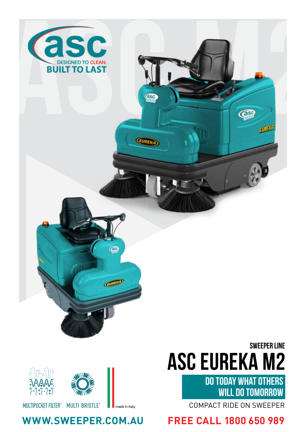



# **ASC EUREKA M2** SWEEPER LINE

DO TODAY WHAT OTHERS WILL DO TOMORROW

COMPACT RIDE ON SWEEPER

### **WWW.SWEEPER.COM.AU FREE CALL 1800 650 989**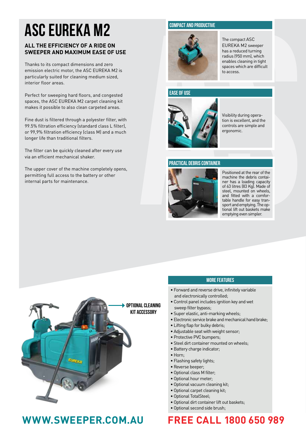# **ASC EUREKA M2**

### **ALL THE EFFICIENCY OF A RIDE ON SWEEPER AND MAXIMUM EASE OF USE**

Thanks to its compact dimensions and zero emission electric motor, the ASC EUREKA M2 is particularly suited for cleaning medium sized, interior floor areas.

Perfect for sweeping hard floors, and congested spaces, the ASC EUREKA M2 carpet cleaning kit makes it possible to also clean carpeted areas.

Fine dust is filtered through a polyester filter, with 99.5% filtration efficiency (standard class L filter), or 99,9% filtration efficiency (class M) and a much longer life than traditional filters.

The filter can be quickly cleaned after every use via an efficient mechanical shaker.

The upper cover of the machine completely opens, permitting full access to the battery or other internal parts for maintenance.

### **COMPACT AND PRODUCTIVE**



The compact ASC EUREKA M2 sweeper has a reduced turning radius (950 mm), which enables cleaning in tight spaces which are difficult to access.

### **EASE OF USE**



Visibility during opera tion is excellent, and the controls are simple and ergonomic.

### **PRACTICAL DEBRIS CONTAINER**



Positioned at the rear of the machine the debris contai ner has a loading capacity of 63 litres (83 Kg). Made of steel, mounted on wheels, and fitted with a comfor table handle for easy tran sport and emptying. The op tional lift out baskets make emptying even simpler.



## **WWW.SWEEPER.COM.AU FREE CALL 1800 650 989**

### **MORE FEATURES**

- Forward and reverse drive, infinitely variable and electronically controlled;
- Control panel includes ignition key and wet sweep filter bypass;
- Super elastic, anti-marking wheels;
- Electronic service brake and mechanical hand brake;
- Lifting flap for bulky debris;
- Adjustable seat with weight sensor;
- Protective PVC bumpers;
- Steel dirt container mounted on wheels;
- Battery charge indicator;
- Horn;
- Flashing safety lights;
- Reverse beeper;
- Optional class M filter;
- Optional hour meter;
- Optional vacuum cleaning kit;
- Optional carpet cleaning kit;
- Optional TotalSteel;
- Optional dirt container lift out baskets;
- Optional second side brush;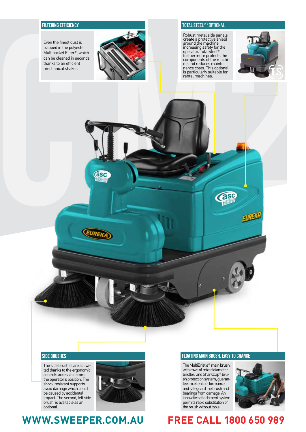### **FILTERING EFFICIENCY**

Even the finest dust is trapped in the polyester Multipocket Filter ®, which can be cleaned in seconds thanks to an efficient mechanical shaker.



### **TOTAL STEEL®** \*OPTIONAL

Robust metal side panels create a protective shield around the machine increasing safety for the operator. TotalSteel ® furthermore protects the<br>components of the machi-<br>ne and reduces mainte-<br>nance costs. This optional nance costs. This optional<br>is particularly suitable for rental machines.



### **SIDE BRUSHES**

The side brushes are activa ted thanks to the ergonomic controls accessible from the operator's position. The shock resistant supports avoid damage which could be caused by accidental impact. The second, left side brush, is available as an optional.



### **WWW.SWEEPER.COM.AU FREE CALL 1800 650 989**

### **FLOATING MAIN BRUSH, EASY TO CHANGE**

The MultiBristle ® main brush, with rows of mixed diameter bristles, and SharkCap ® bru sh protection system, guaran tee excellent performance and safeguard the brush and bearings from damage. An innovative attachment system permits rapid substitution of the brush without tools.